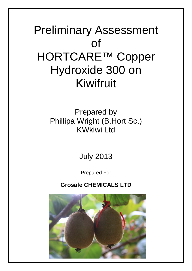# Preliminary Assessment of HORTCARE™ Copper Hydroxide 300 on Kiwifruit

## Prepared by Phillipa Wright (B.Hort Sc.) KWkiwi Ltd

## July 2013

Prepared For

## **Grosafe CHEMICALS LTD**

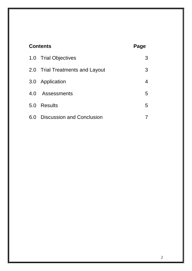| <b>Contents</b> | Page                             |   |
|-----------------|----------------------------------|---|
|                 | 1.0 Trial Objectives             | 3 |
|                 | 2.0 Trial Treatments and Layout  | 3 |
| 3.0             | Application                      | 4 |
| 4.0             | Assessments                      | 5 |
| 5.0             | <b>Results</b>                   | 5 |
| 6.0             | <b>Discussion and Conclusion</b> |   |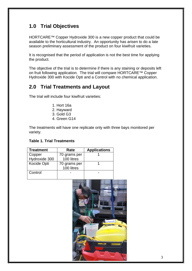## **1.0 Trial Objectives**

HORTCARE™ Copper Hydroxide 300 is a new copper product that could be available to the horticultural industry. An opportunity has arisen to do a late season preliminary assessment of the product on four kiwifruit varieties.

It is recognised that the period of application is not the best time for applying the product.

The objective of the trial is to determine if there is any staining or deposits left on fruit following application. The trial will compare HORTCARE™ Copper Hydroxide 300 with Kocide Opti and a Control with no chemical application.

### **2.0 Trial Treatments and Layout**

The trial will include four kiwifruit varieties:

- 1. Hort 16a
- 2. Hayward
- 3. Gold G3
- 4. Green G14

The treatments will have one replicate only with three bays monitored per variety.

#### **Table 1. Trial Treatments**

| <b>Treatment</b> | Rate                       | <b>Applications</b> |
|------------------|----------------------------|---------------------|
| Copper           | 70 grams per               |                     |
| Hydroxide 300    | 100 litres                 |                     |
| Kocide Opti      | 70 grams per<br>100 litres |                     |
| Control          |                            |                     |

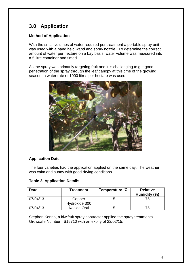## **3.0 Application**

#### **Method of Application**

With the small volumes of water required per treatment a portable spray unit was used with a hand held wand and spray nozzle. To determine the correct amount of water per hectare on a bay basis, water volume was measured into a 5 litre container and timed.

As the spray was primarily targeting fruit and it is challenging to get good penetration of the spray through the leaf canopy at this time of the growing season, a water rate of 1000 litres per hectare was used.



#### **Application Date**

The four varieties had the application applied on the same day. The weather was calm and sunny with good drying conditions.

#### **Table 2. Application Details**

| <b>Date</b> | Treatment               | Temperature °C | <b>Relative</b><br>Humidity (%) |
|-------------|-------------------------|----------------|---------------------------------|
| 07/04/13    | Copper<br>Hydroxide 300 | 15             | 75                              |
| 07/04/13    | Kocide Opti             | 15             | 75                              |

Stephen Kenna, a kiwifruit spray contractor applied the spray treatments. Growsafe Number : S15710 with an expiry of 22/02/15.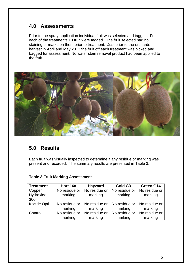## **4.0 Assessments**

Prior to the spray application individual fruit was selected and tagged. For each of the treatments 10 fruit were tagged. The fruit selected had no staining or marks on them prior to treatment. Just prior to the orchards harvest in April and May 2013 the fruit off each treatment was picked and bagged for assessment. No water stain removal product had been applied to the fruit.



## **5.0 Results**

Each fruit was visually inspected to determine if any residue or marking was present and recorded. The summary results are presented in Table 3.

| <b>Treatment</b> | Hort 16a      | <b>Hayward</b> | Gold G3       | Green G14     |
|------------------|---------------|----------------|---------------|---------------|
| Copper           | No residue or | No residue or  | No residue or | No residue or |
| Hydroxide        | marking       | marking        | marking       | marking       |
| 300              |               |                |               |               |
| Kocide Opti      | No residue or | No residue or  | No residue or | No residue or |
|                  |               |                |               |               |
|                  | marking       | marking        | marking       | marking       |
| Control          | No residue or | No residue or  | No residue or | No residue or |

#### **Table 3.Fruit Marking Assessment**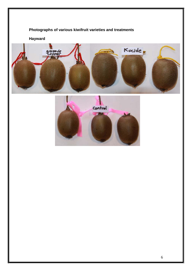### **Photographs of various kiwifruit varieties and treatments**

**Hayward**



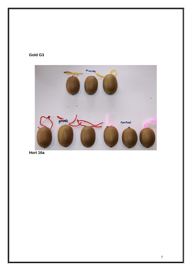#### **Gold G3**



**Hort 16a**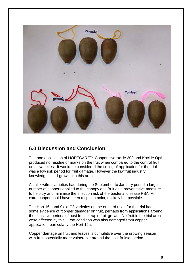

## **6.0 Discussion and Conclusion**

The one application of HORTCARE™ Copper Hydroxide 300 and Kocide Opti produced no residue or marks on the fruit when compared to the control fruit on all varieties. It would be considered the timing of application for the trial was a low risk period for fruit damage. However the kiwifruit industry knowledge is still growing in this area.

As all kiwifruit varieties had during the September to January period a large number of coppers applied to the canopy and fruit as a preventative measure to help try and minimise the infection risk of the bacterial disease PSA. An extra copper could have been a tipping point, unlikely but possible.

The Hort 16a and Gold G3 varieties on the orchard used for the trial had some evidence of "copper damage" on fruit, perhaps from applications around the sensitive periods of post fruitset rapid fruit growth. No fruit in the trial area were affected by this. Leaf condition was also damaged from copper application, particularly the Hort 16a.

Copper damage on fruit and leaves is cumulative over the growing season with fruit potentially more vulnerable around the post fruitset period.